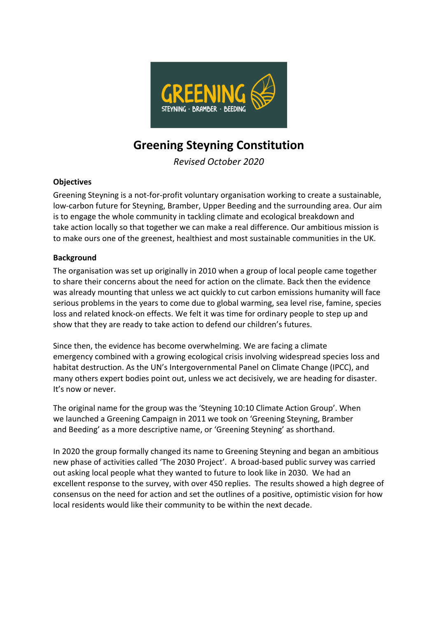

# **Greening Steyning Constitution**

*Revised October 2020*

## **Objectives**

Greening Steyning is a not-for-profit voluntary organisation working to create a sustainable, low-carbon future for Steyning, Bramber, Upper Beeding and the surrounding area. Our aim is to engage the whole community in tackling climate and ecological breakdown and take action locally so that together we can make a real difference. Our ambitious mission is to make ours one of the greenest, healthiest and most sustainable communities in the UK.

## **Background**

The organisation was set up originally in 2010 when a group of local people came together to share their concerns about the need for action on the climate. Back then the evidence was already mounting that unless we act quickly to cut carbon emissions humanity will face serious problems in the years to come due to global warming, sea level rise, famine, species loss and related knock-on effects. We felt it was time for ordinary people to step up and show that they are ready to take action to defend our children's futures.

Since then, the evidence has become overwhelming. We are facing a climate emergency combined with a growing ecological crisis involving widespread species loss and habitat destruction. As the UN's Intergovernmental Panel on Climate Change (IPCC), and many others expert bodies point out, unless we act decisively, we are heading for disaster. It's now or never.

The original name for the group was the 'Steyning 10:10 Climate Action Group'. When we launched a Greening Campaign in 2011 we took on 'Greening Steyning, Bramber and Beeding' as a more descriptive name, or 'Greening Steyning' as shorthand.

In 2020 the group formally changed its name to Greening Steyning and began an ambitious new phase of activities called 'The 2030 Project'. A broad-based public survey was carried out asking local people what they wanted to future to look like in 2030. We had an excellent response to the survey, with over 450 replies. The results showed a high degree of consensus on the need for action and set the outlines of a positive, optimistic vision for how local residents would like their community to be within the next decade.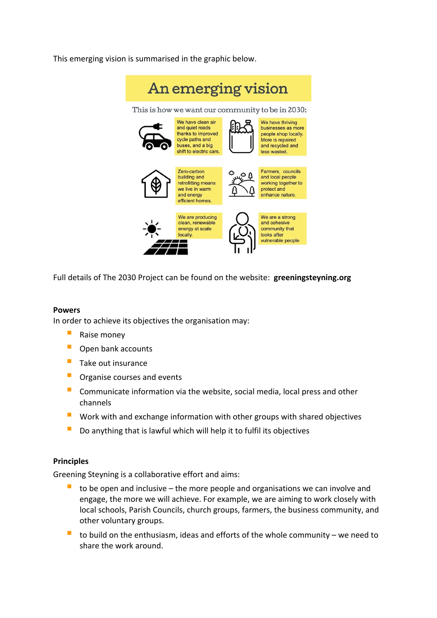This emerging vision is summarised in the graphic below.



Full details of The 2030 Project can be found on the website: **greeningsteyning.org** 

### **Powers**

In order to achieve its objectives the organisation may:

- **B** Raise money
- **Open bank accounts**
- $\blacksquare$  Take out insurance
- **•** Organise courses and events
- **E** Communicate information via the website, social media, local press and other channels
- **•** Work with and exchange information with other groups with shared objectives
- $\blacksquare$  Do anything that is lawful which will help it to fulfil its objectives

### **Principles**

Greening Steyning is a collaborative effort and aims:

- to be open and inclusive the more people and organisations we can involve and engage, the more we will achieve. For example, we are aiming to work closely with local schools, Parish Councils, church groups, farmers, the business community, and other voluntary groups.
- $\blacksquare$  to build on the enthusiasm, ideas and efforts of the whole community we need to share the work around.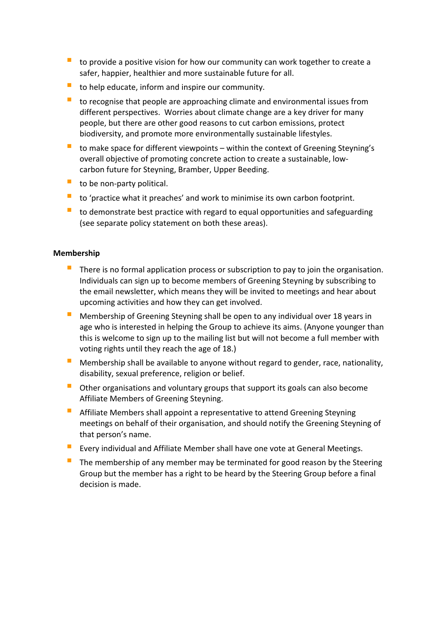- $\blacksquare$  to provide a positive vision for how our community can work together to create a safer, happier, healthier and more sustainable future for all.
- $\blacksquare$  to help educate, inform and inspire our community.
- $\blacksquare$  to recognise that people are approaching climate and environmental issues from different perspectives. Worries about climate change are a key driver for many people, but there are other good reasons to cut carbon emissions, protect biodiversity, and promote more environmentally sustainable lifestyles.
- $\blacksquare$  to make space for different viewpoints within the context of Greening Steyning's overall objective of promoting concrete action to create a sustainable, lowcarbon future for Steyning, Bramber, Upper Beeding.
- $\blacksquare$  to be non-party political.
- $\blacksquare$  to 'practice what it preaches' and work to minimise its own carbon footprint.
- $\blacksquare$  to demonstrate best practice with regard to equal opportunities and safeguarding (see separate policy statement on both these areas).

### **Membership**

- There is no formal application process or subscription to pay to join the organisation. Individuals can sign up to become members of Greening Steyning by subscribing to the email newsletter, which means they will be invited to meetings and hear about upcoming activities and how they can get involved.
- **Membership of Greening Steyning shall be open to any individual over 18 years in** age who is interested in helping the Group to achieve its aims. (Anyone younger than this is welcome to sign up to the mailing list but will not become a full member with voting rights until they reach the age of 18.)
- E Membership shall be available to anyone without regard to gender, race, nationality, disability, sexual preference, religion or belief.
- $\blacksquare$  Other organisations and voluntary groups that support its goals can also become Affiliate Members of Greening Steyning.
- **Affiliate Members shall appoint a representative to attend Greening Steyning** meetings on behalf of their organisation, and should notify the Greening Steyning of that person's name.
- Every individual and Affiliate Member shall have one vote at General Meetings.
- $\blacksquare$  The membership of any member may be terminated for good reason by the Steering Group but the member has a right to be heard by the Steering Group before a final decision is made.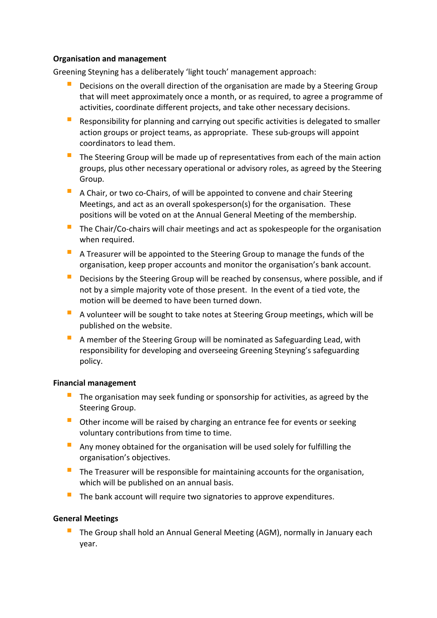### **Organisation and management**

Greening Steyning has a deliberately 'light touch' management approach:

- **•** Decisions on the overall direction of the organisation are made by a Steering Group that will meet approximately once a month, or as required, to agree a programme of activities, coordinate different projects, and take other necessary decisions.
- $\blacksquare$  Responsibility for planning and carrying out specific activities is delegated to smaller action groups or project teams, as appropriate. These sub-groups will appoint coordinators to lead them.
- $\blacksquare$  The Steering Group will be made up of representatives from each of the main action groups, plus other necessary operational or advisory roles, as agreed by the Steering Group.
- $\blacksquare$  A Chair, or two co-Chairs, of will be appointed to convene and chair Steering Meetings, and act as an overall spokesperson(s) for the organisation. These positions will be voted on at the Annual General Meeting of the membership.
- $\blacksquare$  The Chair/Co-chairs will chair meetings and act as spokespeople for the organisation when required.
- $\blacksquare$  A Treasurer will be appointed to the Steering Group to manage the funds of the organisation, keep proper accounts and monitor the organisation's bank account.
- **•** Decisions by the Steering Group will be reached by consensus, where possible, and if not by a simple majority vote of those present. In the event of a tied vote, the motion will be deemed to have been turned down.
- $\blacksquare$  A volunteer will be sought to take notes at Steering Group meetings, which will be published on the website.
- $\blacksquare$  A member of the Steering Group will be nominated as Safeguarding Lead, with responsibility for developing and overseeing Greening Steyning's safeguarding policy.

### **Financial management**

- The organisation may seek funding or sponsorship for activities, as agreed by the Steering Group.
- $\blacksquare$  Other income will be raised by charging an entrance fee for events or seeking voluntary contributions from time to time.
- **E** Any money obtained for the organisation will be used solely for fulfilling the organisation's objectives.
- $\blacksquare$  The Treasurer will be responsible for maintaining accounts for the organisation, which will be published on an annual basis.
- The bank account will require two signatories to approve expenditures.

## **General Meetings**

The Group shall hold an Annual General Meeting (AGM), normally in January each year.